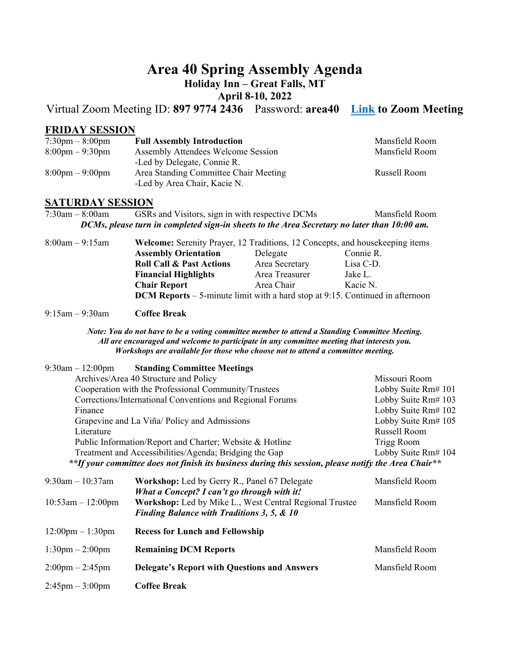# **Area 40 Spring Assembly Agenda**

# **Holiday Inn – Great Falls, MT**

# **April 8-10, 2022**

Virtual Zoom Meeting ID: **897 9774 2436** Password: **area40 [Link](https://us02web.zoom.us/j/89797742436?pwd=eFFSekNsVW5rZUtIUmRYdEpCUWw1QT09) to Zoom Meeting** 

#### **FRIDAY SESSION**

| $7:30 \text{pm} - 8:00 \text{pm}$ | <b>Full Assembly Introduction</b>                                     | Mansfield Room |
|-----------------------------------|-----------------------------------------------------------------------|----------------|
| $8:00 \text{pm} - 9:30 \text{pm}$ | Assembly Attendees Welcome Session                                    | Mansfield Room |
|                                   | -Led by Delegate, Connie R.                                           |                |
| $8:00 \text{pm} - 9:00 \text{pm}$ | Area Standing Committee Chair Meeting<br>-Led by Area Chair, Kacie N. | Russell Room   |

#### **SATURDAY SESSION**

| 7:30am – 8:00am | GSRs and Visitors, sign in with respective DCMs                                             | Mansfield Room |
|-----------------|---------------------------------------------------------------------------------------------|----------------|
|                 | DCMs, please turn in completed sign-in sheets to the Area Secretary no later than 10:00 am. |                |

| $8:00am - 9:15am$ |                                                                                        | <b>Welcome:</b> Serenity Prayer, 12 Traditions, 12 Concepts, and housekeeping items |           |  |
|-------------------|----------------------------------------------------------------------------------------|-------------------------------------------------------------------------------------|-----------|--|
|                   | <b>Assembly Orientation</b>                                                            | Delegate                                                                            | Connie R. |  |
|                   | <b>Roll Call &amp; Past Actions</b>                                                    | Area Secretary                                                                      | Lisa C-D. |  |
|                   | <b>Financial Highlights</b>                                                            | Area Treasurer                                                                      | Jake L.   |  |
|                   | <b>Chair Report</b>                                                                    | Area Chair                                                                          | Kacie N.  |  |
|                   | <b>DCM Reports</b> $-5$ -minute limit with a hard stop at 9:15. Continued in afternoon |                                                                                     |           |  |

9:15am – 9:30am **Coffee Break** 

*Note: You do not have to be a voting committee member to attend a Standing Committee Meeting. All are encouraged and welcome to participate in any committee meeting that interests you. Workshops are available for those who choose not to attend a committee meeting.* 

| $9:30$ am $-12:00$ pm                                    | <b>Standing Committee Meetings</b>                                                                               |                     |
|----------------------------------------------------------|------------------------------------------------------------------------------------------------------------------|---------------------|
|                                                          | Archives/Area 40 Structure and Policy                                                                            | Missouri Room       |
|                                                          | Cooperation with the Professional Community/Trustees                                                             | Lobby Suite Rm# 101 |
|                                                          | Corrections/International Conventions and Regional Forums                                                        | Lobby Suite Rm# 103 |
| Finance                                                  |                                                                                                                  | Lobby Suite Rm# 102 |
|                                                          | Grapevine and La Viña/ Policy and Admissions                                                                     | Lobby Suite Rm# 105 |
| Literature                                               |                                                                                                                  | Russell Room        |
| Public Information/Report and Charter; Website & Hotline |                                                                                                                  | Trigg Room          |
|                                                          | Treatment and Accessibilities/Agenda; Bridging the Gap                                                           | Lobby Suite Rm# 104 |
|                                                          | **If your committee does not finish its business during this session, please notify the Area Chair**             |                     |
| $9:30$ am $-10:37$ am                                    | <b>Workshop:</b> Led by Gerry R., Panel 67 Delegate<br>What a Concept? I can't go through with it!               | Mansfield Room      |
| $10:53am - 12:00pm$                                      | Workshop: Led by Mike L., West Central Regional Trustee<br><b>Finding Balance with Traditions 3, 5, &amp; 10</b> | Mansfield Room      |
| $12:00 \text{pm} - 1:30 \text{pm}$                       | <b>Recess for Lunch and Fellowship</b>                                                                           |                     |

| $1:30$ pm $-2:00$ pm              | <b>Remaining DCM Reports</b>                        | Mansfield Room |
|-----------------------------------|-----------------------------------------------------|----------------|
| $2:00 \text{pm} - 2:45 \text{pm}$ | <b>Delegate's Report with Questions and Answers</b> | Mansfield Room |
| $2:45 \text{pm} - 3:00 \text{pm}$ | <b>Coffee Break</b>                                 |                |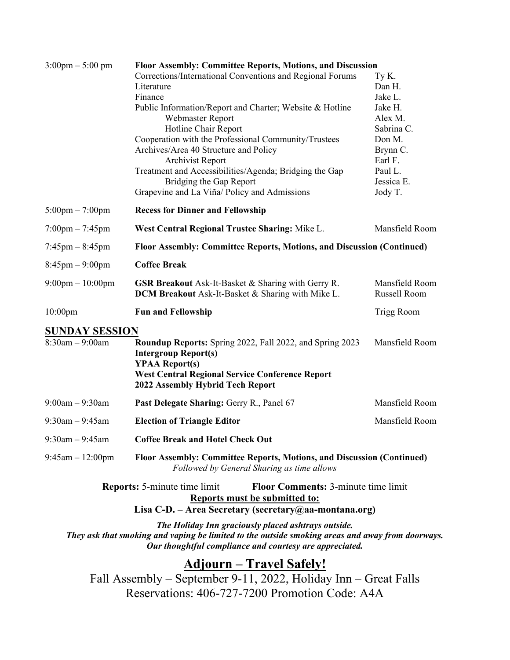| $3:00 \text{pm} - 5:00 \text{pm}$                                                                   | <b>Floor Assembly: Committee Reports, Motions, and Discussion</b>                                                    |                     |  |
|-----------------------------------------------------------------------------------------------------|----------------------------------------------------------------------------------------------------------------------|---------------------|--|
|                                                                                                     | Corrections/International Conventions and Regional Forums                                                            | Ty K.               |  |
|                                                                                                     | Literature                                                                                                           | Dan H.              |  |
|                                                                                                     | Finance                                                                                                              | Jake L.             |  |
|                                                                                                     | Public Information/Report and Charter; Website & Hotline                                                             | Jake H.             |  |
|                                                                                                     | Webmaster Report                                                                                                     | Alex M.             |  |
|                                                                                                     | Hotline Chair Report                                                                                                 | Sabrina C.          |  |
|                                                                                                     | Cooperation with the Professional Community/Trustees                                                                 | Don M.              |  |
|                                                                                                     | Archives/Area 40 Structure and Policy<br>Archivist Report                                                            | Brynn C.<br>Earl F. |  |
|                                                                                                     | Treatment and Accessibilities/Agenda; Bridging the Gap                                                               | Paul L.             |  |
|                                                                                                     | Bridging the Gap Report                                                                                              | Jessica E.          |  |
|                                                                                                     | Grapevine and La Viña/ Policy and Admissions                                                                         | Jody T.             |  |
| $5:00 \text{pm} - 7:00 \text{pm}$                                                                   | <b>Recess for Dinner and Fellowship</b>                                                                              |                     |  |
| $7:00 \text{pm} - 7:45 \text{pm}$                                                                   | West Central Regional Trustee Sharing: Mike L.                                                                       | Mansfield Room      |  |
| $7:45 \text{pm} - 8:45 \text{pm}$                                                                   | Floor Assembly: Committee Reports, Motions, and Discussion (Continued)                                               |                     |  |
| $8:45 \text{pm} - 9:00 \text{pm}$                                                                   | <b>Coffee Break</b>                                                                                                  |                     |  |
| $9:00 \text{pm} - 10:00 \text{pm}$                                                                  | <b>GSR Breakout</b> Ask-It-Basket & Sharing with Gerry R.                                                            | Mansfield Room      |  |
|                                                                                                     | DCM Breakout Ask-It-Basket & Sharing with Mike L.                                                                    | Russell Room        |  |
| $10:00$ pm                                                                                          | <b>Fun and Fellowship</b>                                                                                            | Trigg Room          |  |
| <b>SUNDAY SESSION</b>                                                                               |                                                                                                                      |                     |  |
| $8:30am - 9:00am$                                                                                   | Roundup Reports: Spring 2022, Fall 2022, and Spring 2023<br><b>Intergroup Report(s)</b>                              | Mansfield Room      |  |
|                                                                                                     | <b>YPAA Report(s)</b>                                                                                                |                     |  |
|                                                                                                     | <b>West Central Regional Service Conference Report</b><br>2022 Assembly Hybrid Tech Report                           |                     |  |
| $9:00am - 9:30am$                                                                                   | Past Delegate Sharing: Gerry R., Panel 67                                                                            | Mansfield Room      |  |
| $9:30$ am $-9:45$ am                                                                                | <b>Election of Triangle Editor</b>                                                                                   | Mansfield Room      |  |
| $9:30$ am $-9:45$ am                                                                                | <b>Coffee Break and Hotel Check Out</b>                                                                              |                     |  |
| $9:45$ am $-12:00$ pm                                                                               | Floor Assembly: Committee Reports, Motions, and Discussion (Continued)<br>Followed by General Sharing as time allows |                     |  |
|                                                                                                     | <b>Floor Comments: 3-minute time limit</b><br><b>Reports:</b> 5-minute time limit                                    |                     |  |
| <b>Reports must be submitted to:</b><br>Lisa C-D. – Area Secretary (secretary $(a)$ aa-montana.org) |                                                                                                                      |                     |  |
|                                                                                                     | The Holiday Inn graciously placed ashtrays outside.                                                                  |                     |  |
|                                                                                                     |                                                                                                                      |                     |  |

*They ask that smoking and vaping be limited to the outside smoking areas and away from doorways. Our thoughtful compliance and courtesy are appreciated.* 

# **Adjourn – Travel Safely!**

Fall Assembly – September 9-11, 2022, Holiday Inn – Great Falls Reservations: 406-727-7200 Promotion Code: A4A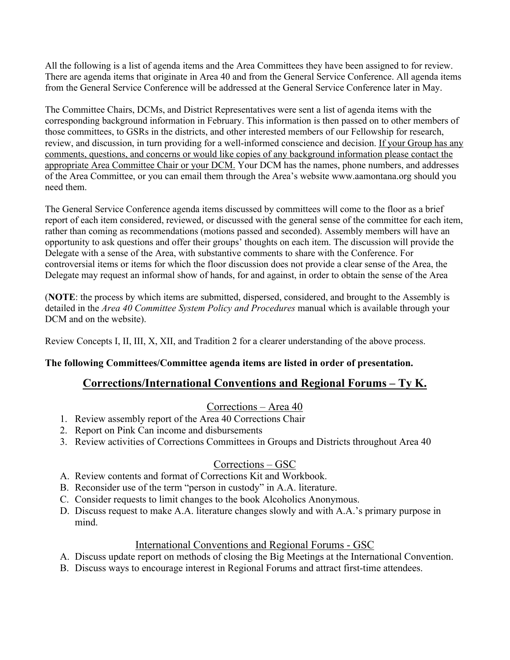All the following is a list of agenda items and the Area Committees they have been assigned to for review. There are agenda items that originate in Area 40 and from the General Service Conference. All agenda items from the General Service Conference will be addressed at the General Service Conference later in May.

The Committee Chairs, DCMs, and District Representatives were sent a list of agenda items with the corresponding background information in February. This information is then passed on to other members of those committees, to GSRs in the districts, and other interested members of our Fellowship for research, review, and discussion, in turn providing for a well-informed conscience and decision. If your Group has any comments, questions, and concerns or would like copies of any background information please contact the appropriate Area Committee Chair or your DCM. Your DCM has the names, phone numbers, and addresses of the Area Committee, or you can email them through the Area's website www.aamontana.org should you need them.

The General Service Conference agenda items discussed by committees will come to the floor as a brief report of each item considered, reviewed, or discussed with the general sense of the committee for each item, rather than coming as recommendations (motions passed and seconded). Assembly members will have an opportunity to ask questions and offer their groups' thoughts on each item. The discussion will provide the Delegate with a sense of the Area, with substantive comments to share with the Conference. For controversial items or items for which the floor discussion does not provide a clear sense of the Area, the Delegate may request an informal show of hands, for and against, in order to obtain the sense of the Area

(**NOTE**: the process by which items are submitted, dispersed, considered, and brought to the Assembly is detailed in the *Area 40 Committee System Policy and Procedures* manual which is available through your DCM and on the website).

Review Concepts I, II, III, X, XII, and Tradition 2 for a clearer understanding of the above process.

#### **The following Committees/Committee agenda items are listed in order of presentation.**

#### **Corrections/International Conventions and Regional Forums – Ty K.**

#### Corrections – Area 40

- 1. Review assembly report of the Area 40 Corrections Chair
- 2. Report on Pink Can income and disbursements
- 3. Review activities of Corrections Committees in Groups and Districts throughout Area 40

#### Corrections – GSC

- A. Review contents and format of Corrections Kit and Workbook.
- B. Reconsider use of the term "person in custody" in A.A. literature.
- C. Consider requests to limit changes to the book Alcoholics Anonymous.
- D. Discuss request to make A.A. literature changes slowly and with A.A.'s primary purpose in mind.

#### International Conventions and Regional Forums - GSC

- A. Discuss update report on methods of closing the Big Meetings at the International Convention.
- B. Discuss ways to encourage interest in Regional Forums and attract first-time attendees.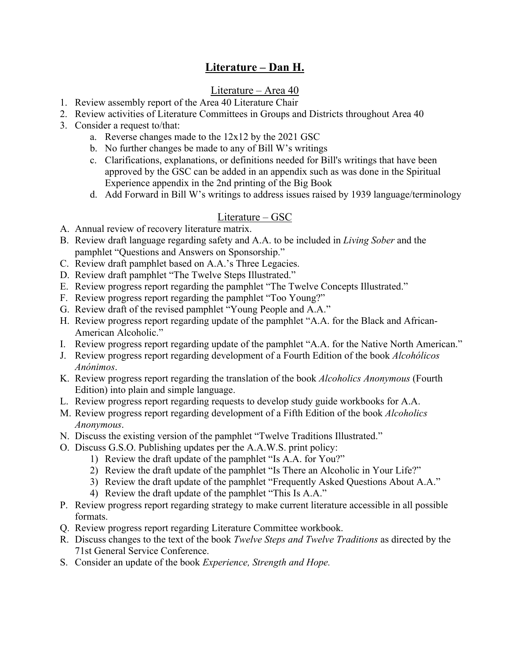# **Literature – Dan H.**

# Literature – Area 40

- 1. Review assembly report of the Area 40 Literature Chair
- 2. Review activities of Literature Committees in Groups and Districts throughout Area 40
- 3. Consider a request to/that:
	- a. Reverse changes made to the 12x12 by the 2021 GSC
	- b. No further changes be made to any of Bill W's writings
	- c. Clarifications, explanations, or definitions needed for Bill's writings that have been approved by the GSC can be added in an appendix such as was done in the Spiritual Experience appendix in the 2nd printing of the Big Book
	- d. Add Forward in Bill W's writings to address issues raised by 1939 language/terminology

## Literature – GSC

- A. Annual review of recovery literature matrix.
- B. Review draft language regarding safety and A.A. to be included in *Living Sober* and the pamphlet "Questions and Answers on Sponsorship."
- C. Review draft pamphlet based on A.A.'s Three Legacies.
- D. Review draft pamphlet "The Twelve Steps Illustrated."
- E. Review progress report regarding the pamphlet "The Twelve Concepts Illustrated."
- F. Review progress report regarding the pamphlet "Too Young?"
- G. Review draft of the revised pamphlet "Young People and A.A."
- H. Review progress report regarding update of the pamphlet "A.A. for the Black and African-American Alcoholic."
- I. Review progress report regarding update of the pamphlet "A.A. for the Native North American."
- J. Review progress report regarding development of a Fourth Edition of the book *Alcohólicos Anónimos*.
- K. Review progress report regarding the translation of the book *Alcoholics Anonymous* (Fourth Edition) into plain and simple language.
- L. Review progress report regarding requests to develop study guide workbooks for A.A.
- M. Review progress report regarding development of a Fifth Edition of the book *Alcoholics Anonymous*.
- N. Discuss the existing version of the pamphlet "Twelve Traditions Illustrated."
- O. Discuss G.S.O. Publishing updates per the A.A.W.S. print policy:
	- 1) Review the draft update of the pamphlet "Is A.A. for You?"
	- 2) Review the draft update of the pamphlet "Is There an Alcoholic in Your Life?"
	- 3) Review the draft update of the pamphlet "Frequently Asked Questions About A.A."
	- 4) Review the draft update of the pamphlet "This Is A.A."
- P. Review progress report regarding strategy to make current literature accessible in all possible formats.
- Q. Review progress report regarding Literature Committee workbook.
- R. Discuss changes to the text of the book *Twelve Steps and Twelve Traditions* as directed by the 71st General Service Conference.
- S. Consider an update of the book *Experience, Strength and Hope.*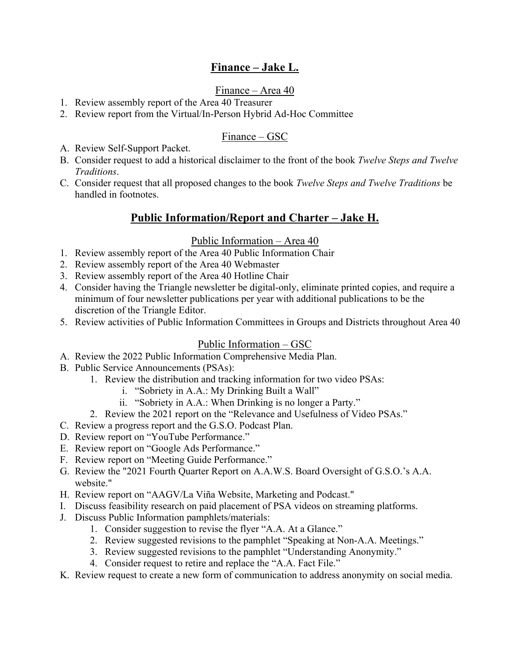# **Finance – Jake L.**

# Finance – Area 40

- 1. Review assembly report of the Area 40 Treasurer
- 2. Review report from the Virtual/In-Person Hybrid Ad-Hoc Committee

# Finance – GSC

- A. Review Self-Support Packet.
- B. Consider request to add a historical disclaimer to the front of the book *Twelve Steps and Twelve Traditions*.
- C. Consider request that all proposed changes to the book *Twelve Steps and Twelve Traditions* be handled in footnotes.

# **Public Information/Report and Charter – Jake H.**

#### Public Information – Area 40

- 1. Review assembly report of the Area 40 Public Information Chair
- 2. Review assembly report of the Area 40 Webmaster
- 3. Review assembly report of the Area 40 Hotline Chair
- 4. Consider having the Triangle newsletter be digital-only, eliminate printed copies, and require a minimum of four newsletter publications per year with additional publications to be the discretion of the Triangle Editor.
- 5. Review activities of Public Information Committees in Groups and Districts throughout Area 40

#### Public Information – GSC

- A. Review the 2022 Public Information Comprehensive Media Plan.
- B. Public Service Announcements (PSAs):
	- 1. Review the distribution and tracking information for two video PSAs:
		- i. "Sobriety in A.A.: My Drinking Built a Wall"
		- ii. "Sobriety in A.A.: When Drinking is no longer a Party."
	- 2. Review the 2021 report on the "Relevance and Usefulness of Video PSAs."
- C. Review a progress report and the G.S.O. Podcast Plan.
- D. Review report on "YouTube Performance."
- E. Review report on "Google Ads Performance."
- F. Review report on "Meeting Guide Performance."
- G. Review the "2021 Fourth Quarter Report on A.A.W.S. Board Oversight of G.S.O.'s A.A. website."
- H. Review report on "AAGV/La Viña Website, Marketing and Podcast."
- I. Discuss feasibility research on paid placement of PSA videos on streaming platforms.
- J. Discuss Public Information pamphlets/materials:
	- 1. Consider suggestion to revise the flyer "A.A. At a Glance."
	- 2. Review suggested revisions to the pamphlet "Speaking at Non-A.A. Meetings."
	- 3. Review suggested revisions to the pamphlet "Understanding Anonymity."
	- 4. Consider request to retire and replace the "A.A. Fact File."
- K. Review request to create a new form of communication to address anonymity on social media.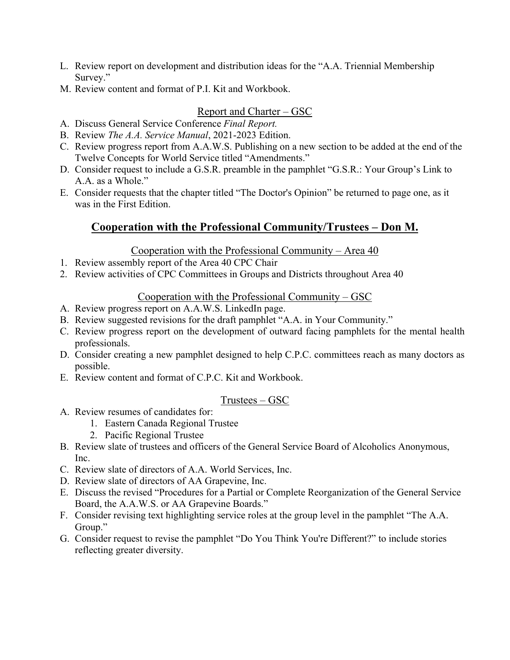- L. Review report on development and distribution ideas for the "A.A. Triennial Membership Survey."
- M. Review content and format of P.I. Kit and Workbook.

#### Report and Charter – GSC

- A. Discuss General Service Conference *Final Report.*
- B. Review *The A.A. Service Manual*, 2021-2023 Edition.
- C. Review progress report from A.A.W.S. Publishing on a new section to be added at the end of the Twelve Concepts for World Service titled "Amendments."
- D. Consider request to include a G.S.R. preamble in the pamphlet "G.S.R.: Your Group's Link to A.A. as a Whole."
- E. Consider requests that the chapter titled "The Doctor's Opinion" be returned to page one, as it was in the First Edition.

# **Cooperation with the Professional Community/Trustees – Don M.**

#### Cooperation with the Professional Community – Area  $40$

- 1. Review assembly report of the Area 40 CPC Chair
- 2. Review activities of CPC Committees in Groups and Districts throughout Area 40

#### Cooperation with the Professional Community – GSC

- A. Review progress report on A.A.W.S. LinkedIn page.
- B. Review suggested revisions for the draft pamphlet "A.A. in Your Community."
- C. Review progress report on the development of outward facing pamphlets for the mental health professionals.
- D. Consider creating a new pamphlet designed to help C.P.C. committees reach as many doctors as possible.
- E. Review content and format of C.P.C. Kit and Workbook.

# Trustees – GSC

- A. Review resumes of candidates for:
	- 1. Eastern Canada Regional Trustee
	- 2. Pacific Regional Trustee
- B. Review slate of trustees and officers of the General Service Board of Alcoholics Anonymous, Inc.
- C. Review slate of directors of A.A. World Services, Inc.
- D. Review slate of directors of AA Grapevine, Inc.
- E. Discuss the revised "Procedures for a Partial or Complete Reorganization of the General Service Board, the A.A.W.S. or AA Grapevine Boards."
- F. Consider revising text highlighting service roles at the group level in the pamphlet "The A.A. Group."
- G. Consider request to revise the pamphlet "Do You Think You're Different?" to include stories reflecting greater diversity.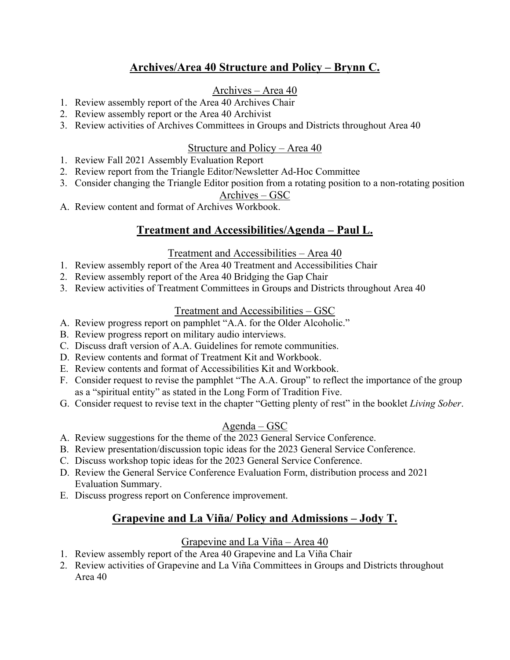# **Archives/Area 40 Structure and Policy – Brynn C.**

# Archives – Area 40

- 1. Review assembly report of the Area 40 Archives Chair
- 2. Review assembly report or the Area 40 Archivist
- 3. Review activities of Archives Committees in Groups and Districts throughout Area 40

#### Structure and Policy – Area 40

- 1. Review Fall 2021 Assembly Evaluation Report
- 2. Review report from the Triangle Editor/Newsletter Ad-Hoc Committee
- 3. Consider changing the Triangle Editor position from a rotating position to a non-rotating position

#### Archives – GSC

A. Review content and format of Archives Workbook.

# **Treatment and Accessibilities/Agenda – Paul L.**

#### Treatment and Accessibilities – Area 40

- 1. Review assembly report of the Area 40 Treatment and Accessibilities Chair
- 2. Review assembly report of the Area 40 Bridging the Gap Chair
- 3. Review activities of Treatment Committees in Groups and Districts throughout Area 40

## Treatment and Accessibilities – GSC

- A. Review progress report on pamphlet "A.A. for the Older Alcoholic."
- B. Review progress report on military audio interviews.
- C. Discuss draft version of A.A. Guidelines for remote communities.
- D. Review contents and format of Treatment Kit and Workbook.
- E. Review contents and format of Accessibilities Kit and Workbook.
- F. Consider request to revise the pamphlet "The A.A. Group" to reflect the importance of the group as a "spiritual entity" as stated in the Long Form of Tradition Five.
- G. Consider request to revise text in the chapter "Getting plenty of rest" in the booklet *Living Sober*.

# Agenda – GSC

- A. Review suggestions for the theme of the 2023 General Service Conference.
- B. Review presentation/discussion topic ideas for the 2023 General Service Conference.
- C. Discuss workshop topic ideas for the 2023 General Service Conference.
- D. Review the General Service Conference Evaluation Form, distribution process and 2021 Evaluation Summary.
- E. Discuss progress report on Conference improvement.

# **Grapevine and La Viña/ Policy and Admissions – Jody T.**

#### Grapevine and La Viña – Area 40

- 1. Review assembly report of the Area 40 Grapevine and La Viña Chair
- 2. Review activities of Grapevine and La Viña Committees in Groups and Districts throughout Area 40